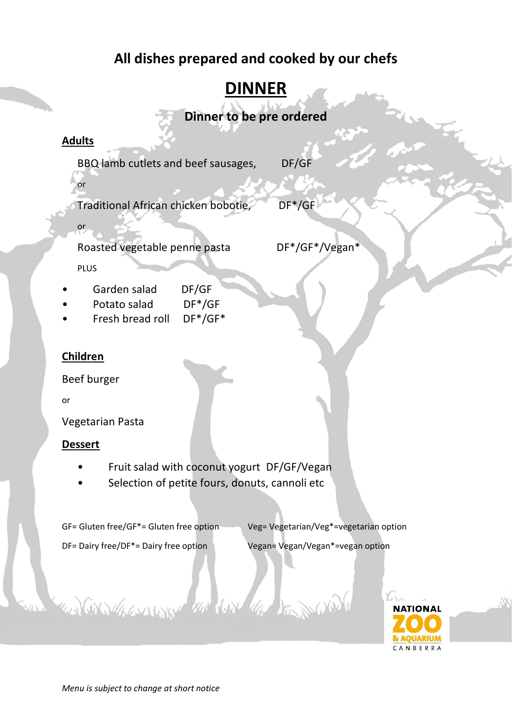### **All dishes prepared and cooked by our chefs**

## **DINNER**

**Dinner to be pre ordered**

#### **Adults**

or

or

BBQ lamb cutlets and beef sausages, DF/GF

Traditional African chicken bobotie, DF\*/GF

Roasted vegetable penne pasta DF\*/GF\*/Vegan\*

PLUS

- Garden salad DF/GF
- Potato salad DF\*/GF
- Fresh bread roll DF\*/GF\*

#### **Children**

Beef burger

or

Vegetarian Pasta

#### **Dessert**

- Fruit salad with coconut yogurt DF/GF/Vegan
- Selection of petite fours, donuts, cannoli etc

Constantino the day of the DES

GF= Gluten free/GF\*= Gluten free option Veg= Vegetarian/Veg\*=vegetarian option

DF= Dairy free/DF<sup>\*</sup>= Dairy free option Vegan= Vegan/Vegan<sup>\*</sup>=vegan option

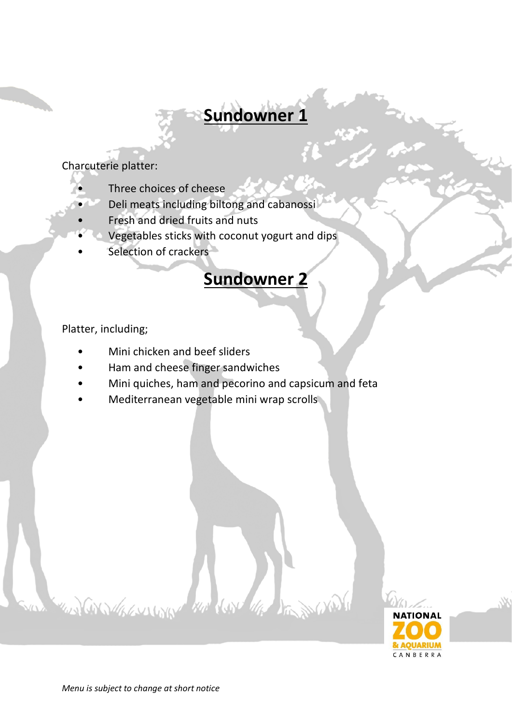# **Sundowner 1**

Charcuterie platter:

- Three choices of cheese
	- Deli meats including biltong and cabanossi
	- Fresh and dried fruits and nuts
	- Vegetables sticks with coconut yogurt and dips
- Selection of crackers

## **Sundowner 2**

Platter, including;

- Mini chicken and beef sliders
- Ham and cheese finger sandwiches

GNAVILLONARY WE CONFIDER

- Mini quiches, ham and pecorino and capsicum and feta
- Mediterranean vegetable mini wrap scrolls